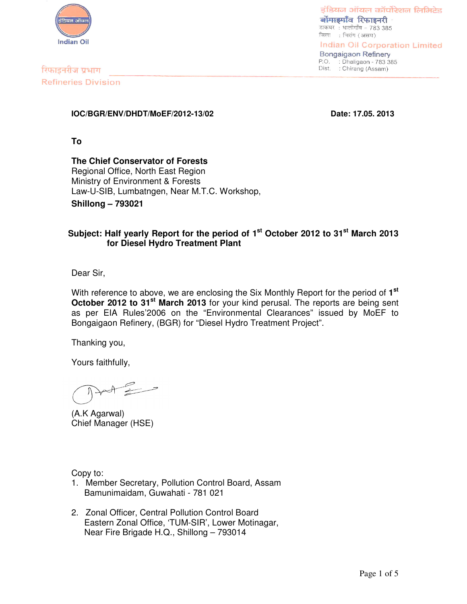

डंडियन ऑयल कॉर्पोरेशन लिमिटेड बोंगाडगाँव रिफाइनरी डाकघर: धालीगाँव - 783 385 जिला : चिरांग (असम) Indian Oil Corporation Limited

**Bongaigaon Refinery** P.O. : Dhaligaon - 783 385<br>Dist. : Chirang (Assam)

रिफाइनरीज प्रभाग **Refineries Division** 

### **IOC/BGR/ENV/DHDT/MoEF/2012-13/02 Date: 17.05. 2013**

**To**

**The Chief Conservator of Forests** Regional Office, North East Region Ministry of Environment & Forests Law-U-SIB, Lumbatngen, Near M.T.C. Workshop, **Shillong – 793021**

# **Subject: Half yearly Report for the period of 1 st October 2012 to 31 st March 2013 for Diesel Hydro Treatment Plant**

Dear Sir,

With reference to above, we are enclosing the Six Monthly Report for the period of **1 st October 2012 to 31 st March 2013** for your kind perusal. The reports are being sent as per EIA Rules'2006 on the "Environmental Clearances" issued by MoEF to Bongaigaon Refinery, (BGR) for "Diesel Hydro Treatment Project".

Thanking you,

Yours faithfully,

 $\mathscr{D}$ 

(A.K Agarwal) Chief Manager (HSE)

Copy to:

- 1. Member Secretary, Pollution Control Board, Assam Bamunimaidam, Guwahati - 781 021
- 2. Zonal Officer, Central Pollution Control Board Eastern Zonal Office, 'TUM-SIR', Lower Motinagar, Near Fire Brigade H.Q., Shillong – 793014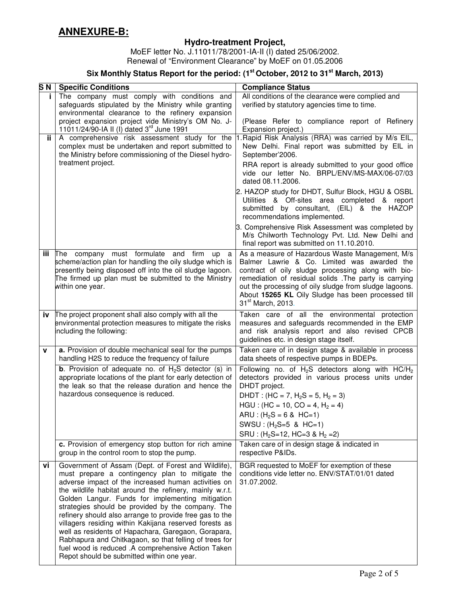# **Hydro-treatment Project,**

MoEF letter No. J.11011/78/2001-IA-II (I) dated 25/06/2002. Renewal of "Environment Clearance" by MoEF on 01.05.2006

#### **Six Monthly Status Report for the period: (1 st October, 2012 to 31 st March, 2013)**

| S <sub>N</sub> | <b>Specific Conditions</b>                                                                                                                                                                                                                                                                                                                                                                                                                                                                                                                                                                                                                                                  | <b>Compliance Status</b>                                                                                                                                                                                                                                                                                                                                        |
|----------------|-----------------------------------------------------------------------------------------------------------------------------------------------------------------------------------------------------------------------------------------------------------------------------------------------------------------------------------------------------------------------------------------------------------------------------------------------------------------------------------------------------------------------------------------------------------------------------------------------------------------------------------------------------------------------------|-----------------------------------------------------------------------------------------------------------------------------------------------------------------------------------------------------------------------------------------------------------------------------------------------------------------------------------------------------------------|
| j.             | The company must comply with conditions and<br>safeguards stipulated by the Ministry while granting<br>environmental clearance to the refinery expansion                                                                                                                                                                                                                                                                                                                                                                                                                                                                                                                    | All conditions of the clearance were complied and<br>verified by statutory agencies time to time.                                                                                                                                                                                                                                                               |
|                | project expansion project vide Ministry's OM No. J-<br>11011/24/90-IA II (I) dated 3rd June 1991                                                                                                                                                                                                                                                                                                                                                                                                                                                                                                                                                                            | (Please Refer to compliance report of Refinery<br>Expansion project.)                                                                                                                                                                                                                                                                                           |
| ij.            | A comprehensive risk assessment study for the<br>complex must be undertaken and report submitted to<br>the Ministry before commissioning of the Diesel hydro-                                                                                                                                                                                                                                                                                                                                                                                                                                                                                                               | Rapid Risk Analysis (RRA) was carried by M/s EIL,<br>New Delhi. Final report was submitted by EIL in<br>September'2006.                                                                                                                                                                                                                                         |
|                | treatment project.                                                                                                                                                                                                                                                                                                                                                                                                                                                                                                                                                                                                                                                          | RRA report is already submitted to your good office<br>vide our letter No. BRPL/ENV/MS-MAX/06-07/03<br>dated 08.11.2006.                                                                                                                                                                                                                                        |
|                |                                                                                                                                                                                                                                                                                                                                                                                                                                                                                                                                                                                                                                                                             | 2. HAZOP study for DHDT, Sulfur Block, HGU & OSBL<br>Utilities & Off-sites area completed & report<br>submitted by consultant, (EIL) & the HAZOP<br>recommendations implemented.                                                                                                                                                                                |
|                |                                                                                                                                                                                                                                                                                                                                                                                                                                                                                                                                                                                                                                                                             | 3. Comprehensive Risk Assessment was completed by<br>M/s Chilworth Technology Pvt. Ltd. New Delhi and<br>final report was submitted on 11.10.2010.                                                                                                                                                                                                              |
| iii            | The company must formulate and firm up<br>a<br>scheme/action plan for handling the oily sludge which is<br>presently being disposed off into the oil sludge lagoon.<br>The firmed up plan must be submitted to the Ministry<br>within one year.                                                                                                                                                                                                                                                                                                                                                                                                                             | As a measure of Hazardous Waste Management, M/s<br>Balmer Lawrie & Co. Limited was awarded the<br>contract of oily sludge processing along with bio-<br>remediation of residual solids . The party is carrying<br>out the processing of oily sludge from sludge lagoons.<br>About 15265 KL Oily Sludge has been processed till<br>31 <sup>st</sup> March, 2013. |
| iv             | The project proponent shall also comply with all the<br>environmental protection measures to mitigate the risks<br>including the following:                                                                                                                                                                                                                                                                                                                                                                                                                                                                                                                                 | Taken care of all the environmental protection<br>measures and safeguards recommended in the EMP<br>and risk analysis report and also revised CPCB<br>guidelines etc. in design stage itself.                                                                                                                                                                   |
| v              | a. Provision of double mechanical seal for the pumps<br>handling H2S to reduce the frequency of failure                                                                                                                                                                                                                                                                                                                                                                                                                                                                                                                                                                     | Taken care of in design stage & available in process<br>data sheets of respective pumps in BDEPs.                                                                                                                                                                                                                                                               |
|                | <b>b</b> . Provision of adequate no. of $H_2S$ detector (s) in<br>appropriate locations of the plant for early detection of<br>the leak so that the release duration and hence the                                                                                                                                                                                                                                                                                                                                                                                                                                                                                          | Following no. of $H_2S$ detectors along with HC/ $H_2$<br>detectors provided in various process units under<br>DHDT project.                                                                                                                                                                                                                                    |
|                | hazardous consequence is reduced.                                                                                                                                                                                                                                                                                                                                                                                                                                                                                                                                                                                                                                           | DHDT: $(HC = 7, H2S = 5, H2 = 3)$<br>$HGU$ : (HC = 10, CO = 4, H <sub>2</sub> = 4)                                                                                                                                                                                                                                                                              |
|                |                                                                                                                                                                                                                                                                                                                                                                                                                                                                                                                                                                                                                                                                             | $ARU$ : $(H_2S = 6$ & HC=1)                                                                                                                                                                                                                                                                                                                                     |
|                |                                                                                                                                                                                                                                                                                                                                                                                                                                                                                                                                                                                                                                                                             | SWSU: (H <sub>2</sub> S=5 & HC=1)<br>SRU : $(H_2S=12, HC=3 & H_2=2)$                                                                                                                                                                                                                                                                                            |
|                | c. Provision of emergency stop button for rich amine<br>group in the control room to stop the pump.                                                                                                                                                                                                                                                                                                                                                                                                                                                                                                                                                                         | Taken care of in design stage & indicated in<br>respective P&IDs.                                                                                                                                                                                                                                                                                               |
| vi             | Government of Assam (Dept. of Forest and Wildlife),<br>must prepare a contingency plan to mitigate the<br>adverse impact of the increased human activities on<br>the wildlife habitat around the refinery, mainly w.r.t.<br>Golden Langur. Funds for implementing mitigation<br>strategies should be provided by the company. The<br>refinery should also arrange to provide free gas to the<br>villagers residing within Kakijana reserved forests as<br>well as residents of Hapachara, Garegaon, Gorapara,<br>Rabhapura and Chitkagaon, so that felling of trees for<br>fuel wood is reduced .A comprehensive Action Taken<br>Repot should be submitted within one year. | BGR requested to MoEF for exemption of these<br>conditions vide letter no. ENV/STAT/01/01 dated<br>31.07.2002.                                                                                                                                                                                                                                                  |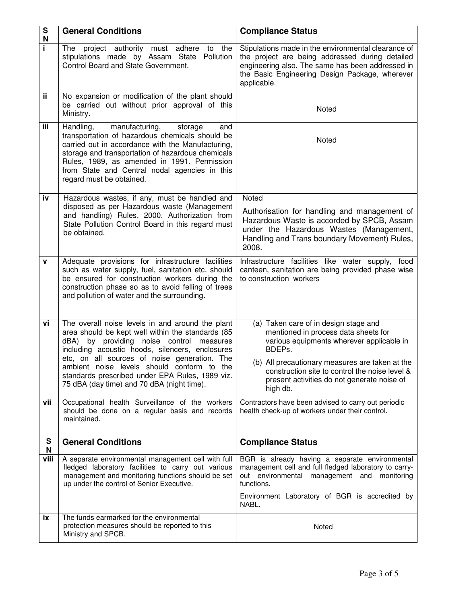| ${\bf S}$<br>N | <b>General Conditions</b>                                                                                                                                                                                                                                                                                                                                                                           | <b>Compliance Status</b>                                                                                                                                                                                                                                                                             |  |
|----------------|-----------------------------------------------------------------------------------------------------------------------------------------------------------------------------------------------------------------------------------------------------------------------------------------------------------------------------------------------------------------------------------------------------|------------------------------------------------------------------------------------------------------------------------------------------------------------------------------------------------------------------------------------------------------------------------------------------------------|--|
| i.             | The project authority must adhere to<br>the<br>stipulations made by Assam State Pollution<br>Control Board and State Government.                                                                                                                                                                                                                                                                    | Stipulations made in the environmental clearance of<br>the project are being addressed during detailed<br>engineering also. The same has been addressed in<br>the Basic Engineering Design Package, wherever<br>applicable.                                                                          |  |
| ij.            | No expansion or modification of the plant should<br>be carried out without prior approval of this<br>Ministry.                                                                                                                                                                                                                                                                                      | Noted                                                                                                                                                                                                                                                                                                |  |
| iii            | Handling,<br>manufacturing,<br>storage<br>and<br>transportation of hazardous chemicals should be<br>carried out in accordance with the Manufacturing,<br>storage and transportation of hazardous chemicals<br>Rules, 1989, as amended in 1991. Permission<br>from State and Central nodal agencies in this<br>regard must be obtained.                                                              | Noted                                                                                                                                                                                                                                                                                                |  |
| iv             | Hazardous wastes, if any, must be handled and<br>disposed as per Hazardous waste (Management<br>and handling) Rules, 2000. Authorization from<br>State Pollution Control Board in this regard must<br>be obtained.                                                                                                                                                                                  | Noted<br>Authorisation for handling and management of<br>Hazardous Waste is accorded by SPCB, Assam<br>under the Hazardous Wastes (Management,<br>Handling and Trans boundary Movement) Rules,<br>2008.                                                                                              |  |
| $\mathbf V$    | Adequate provisions for infrastructure facilities<br>such as water supply, fuel, sanitation etc. should<br>be ensured for construction workers during the<br>construction phase so as to avoid felling of trees<br>and pollution of water and the surrounding.                                                                                                                                      | Infrastructure facilities like water supply, food<br>canteen, sanitation are being provided phase wise<br>to construction workers                                                                                                                                                                    |  |
| vi             | The overall noise levels in and around the plant<br>area should be kept well within the standards (85<br>dBA) by providing noise control measures<br>including acoustic hoods, silencers, enclosures<br>etc, on all sources of noise generation. The<br>ambient noise levels should conform to the<br>standards prescribed under EPA Rules, 1989 viz.<br>75 dBA (day time) and 70 dBA (night time). | (a) Taken care of in design stage and<br>mentioned in process data sheets for<br>various equipments wherever applicable in<br>BDEPs.<br>(b) All precautionary measures are taken at the<br>construction site to control the noise level &<br>present activities do not generate noise of<br>high db. |  |
| vii            | Occupational health Surveillance of the workers<br>should be done on a regular basis and records<br>maintained.                                                                                                                                                                                                                                                                                     | Contractors have been advised to carry out periodic<br>health check-up of workers under their control.                                                                                                                                                                                               |  |
| S<br>N         | <b>General Conditions</b>                                                                                                                                                                                                                                                                                                                                                                           | <b>Compliance Status</b>                                                                                                                                                                                                                                                                             |  |
| viii           | A separate environmental management cell with full<br>fledged laboratory facilities to carry out various<br>management and monitoring functions should be set<br>up under the control of Senior Executive.                                                                                                                                                                                          | BGR is already having a separate environmental<br>management cell and full fledged laboratory to carry-<br>out environmental management and monitoring<br>functions.<br>Environment Laboratory of BGR is accredited by<br>NABL.                                                                      |  |
| ix             | The funds earmarked for the environmental<br>protection measures should be reported to this<br>Ministry and SPCB.                                                                                                                                                                                                                                                                                   | Noted                                                                                                                                                                                                                                                                                                |  |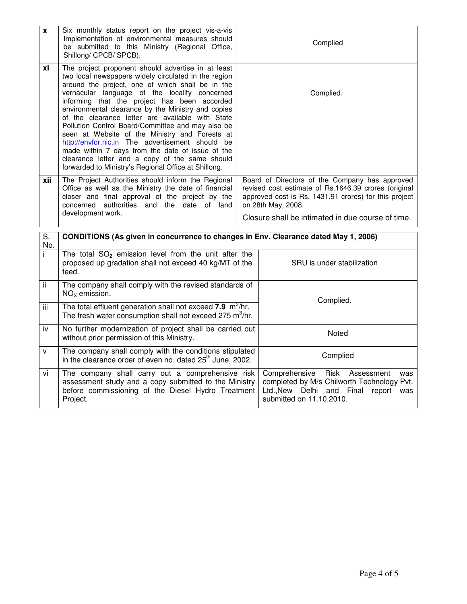| X         | Six monthly status report on the project vis-a-vis<br>Implementation of environmental measures should<br>be submitted to this Ministry (Regional Office,<br>Shillong/ CPCB/ SPCB).                                                                                                                                                                                                                                                                                                                                                                                                                                                                                                                 |  | Complied                                                                                                                                                                                                                                   |  |  |
|-----------|----------------------------------------------------------------------------------------------------------------------------------------------------------------------------------------------------------------------------------------------------------------------------------------------------------------------------------------------------------------------------------------------------------------------------------------------------------------------------------------------------------------------------------------------------------------------------------------------------------------------------------------------------------------------------------------------------|--|--------------------------------------------------------------------------------------------------------------------------------------------------------------------------------------------------------------------------------------------|--|--|
| хi        | The project proponent should advertise in at least<br>two local newspapers widely circulated in the region<br>around the project, one of which shall be in the<br>vernacular language of the locality concerned<br>informing that the project has been accorded<br>environmental clearance by the Ministry and copies<br>of the clearance letter are available with State<br>Pollution Control Board/Committee and may also be<br>seen at Website of the Ministry and Forests at<br>http://envfor.nic.in The advertisement should be<br>made within 7 days from the date of issue of the<br>clearance letter and a copy of the same should<br>forwarded to Ministry's Regional Office at Shillong. |  | Complied.                                                                                                                                                                                                                                  |  |  |
| xii       | The Project Authorities should inform the Regional<br>Office as well as the Ministry the date of financial<br>closer and final approval of the project by the<br>concerned<br>authorities and the date of land<br>development work.                                                                                                                                                                                                                                                                                                                                                                                                                                                                |  | Board of Directors of the Company has approved<br>revised cost estimate of Rs.1646.39 crores (original<br>approved cost is Rs. 1431.91 crores) for this project<br>on 28th May, 2008.<br>Closure shall be intimated in due course of time. |  |  |
| S.<br>No. | CONDITIONS (As given in concurrence to changes in Env. Clearance dated May 1, 2006)                                                                                                                                                                                                                                                                                                                                                                                                                                                                                                                                                                                                                |  |                                                                                                                                                                                                                                            |  |  |
| i         | The total $SO_2$ emission level from the unit after the<br>proposed up gradation shall not exceed 40 kg/MT of the<br>feed.                                                                                                                                                                                                                                                                                                                                                                                                                                                                                                                                                                         |  | SRU is under stabilization                                                                                                                                                                                                                 |  |  |
| ii.       | The company shall comply with the revised standards of<br>$NOx$ emission.                                                                                                                                                                                                                                                                                                                                                                                                                                                                                                                                                                                                                          |  | Complied.                                                                                                                                                                                                                                  |  |  |
| iii       | The total effluent generation shall not exceed 7.9 m <sup>3</sup> /hr.<br>The fresh water consumption shall not exceed 275 m <sup>3</sup> /hr.                                                                                                                                                                                                                                                                                                                                                                                                                                                                                                                                                     |  |                                                                                                                                                                                                                                            |  |  |
| iv        | No further modernization of project shall be carried out<br>without prior permission of this Ministry.                                                                                                                                                                                                                                                                                                                                                                                                                                                                                                                                                                                             |  | Noted                                                                                                                                                                                                                                      |  |  |
| v         | The company shall comply with the conditions stipulated<br>in the clearance order of even no. dated 25 <sup>th</sup> June, 2002.                                                                                                                                                                                                                                                                                                                                                                                                                                                                                                                                                                   |  | Complied                                                                                                                                                                                                                                   |  |  |
| vi        | The company shall carry out a comprehensive risk<br>assessment study and a copy submitted to the Ministry<br>before commissioning of the Diesel Hydro Treatment<br>Project.                                                                                                                                                                                                                                                                                                                                                                                                                                                                                                                        |  | Comprehensive<br>Risk<br>Assessment<br>was<br>completed by M/s Chilworth Technology Pvt.<br>Ltd., New<br>Delhi<br>and<br>Final<br>report<br>was<br>submitted on 11.10.2010.                                                                |  |  |